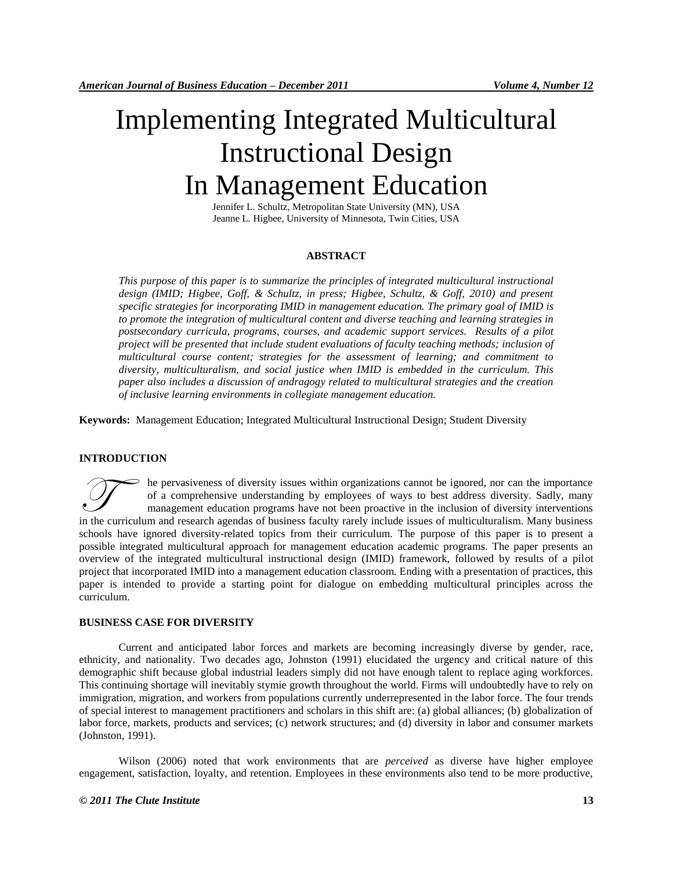# Implementing Integrated Multicultural Instructional Design In Management Education

Jennifer L. Schultz, Metropolitan State University (MN), USA Jeanne L. Higbee, University of Minnesota, Twin Cities, USA

## **ABSTRACT**

*This purpose of this paper is to summarize the principles of integrated multicultural instructional design (IMID; Higbee, Goff, & Schultz, in press; Higbee, Schultz, & Goff, 2010) and present specific strategies for incorporating IMID in management education. The primary goal of IMID is to promote the integration of multicultural content and diverse teaching and learning strategies in postsecondary curricula, programs, courses, and academic support services. Results of a pilot project will be presented that include student evaluations of faculty teaching methods; inclusion of multicultural course content; strategies for the assessment of learning; and commitment to diversity, multiculturalism, and social justice when IMID is embedded in the curriculum. This paper also includes a discussion of andragogy related to multicultural strategies and the creation of inclusive learning environments in collegiate management education.*

**Keywords:** Management Education; Integrated Multicultural Instructional Design; Student Diversity

## **INTRODUCTION**

he pervasiveness of diversity issues within organizations cannot be ignored, nor can the importance of a comprehensive understanding by employees of ways to best address diversity. Sadly, many management education programs have not been proactive in the inclusion of diversity interventions In the pervasiveness of diversity issues within organizations cannot be ignored, nor can the importance of a comprehensive understanding by employees of ways to best address diversity. Sadly, many management education prog schools have ignored diversity-related topics from their curriculum. The purpose of this paper is to present a possible integrated multicultural approach for management education academic programs. The paper presents an overview of the integrated multicultural instructional design (IMID) framework, followed by results of a pilot project that incorporated IMID into a management education classroom. Ending with a presentation of practices, this paper is intended to provide a starting point for dialogue on embedding multicultural principles across the curriculum.

## **BUSINESS CASE FOR DIVERSITY**

Current and anticipated labor forces and markets are becoming increasingly diverse by gender, race, ethnicity, and nationality. Two decades ago, Johnston (1991) elucidated the urgency and critical nature of this demographic shift because global industrial leaders simply did not have enough talent to replace aging workforces. This continuing shortage will inevitably stymie growth throughout the world. Firms will undoubtedly have to rely on immigration, migration, and workers from populations currently underrepresented in the labor force. The four trends of special interest to management practitioners and scholars in this shift are: (a) global alliances; (b) globalization of labor force, markets, products and services; (c) network structures; and (d) diversity in labor and consumer markets (Johnston, 1991).

Wilson (2006) noted that work environments that are *perceived* as diverse have higher employee engagement, satisfaction, loyalty, and retention. Employees in these environments also tend to be more productive,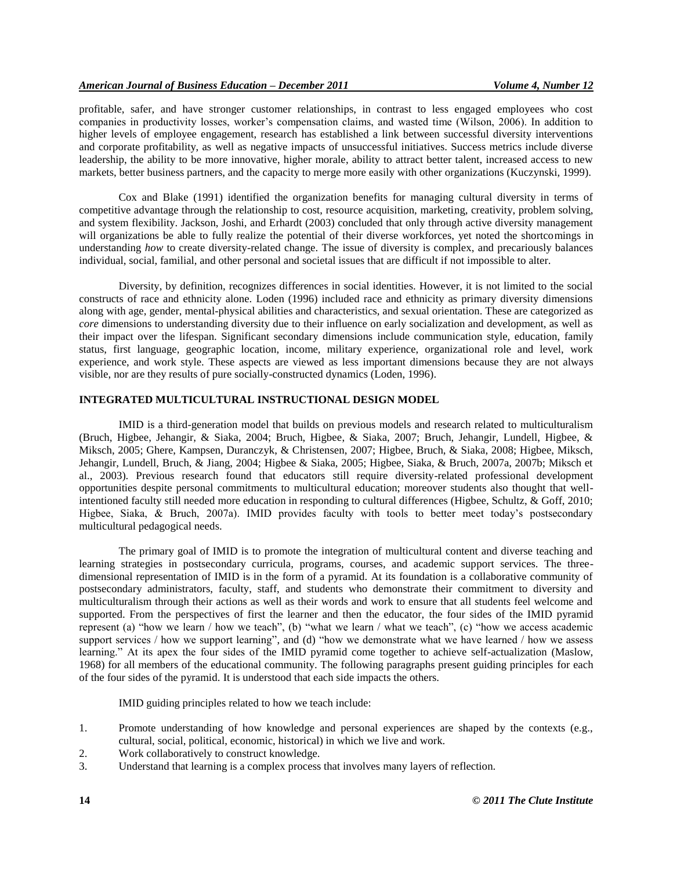profitable, safer, and have stronger customer relationships, in contrast to less engaged employees who cost companies in productivity losses, worker's compensation claims, and wasted time (Wilson, 2006). In addition to higher levels of employee engagement, research has established a link between successful diversity interventions and corporate profitability, as well as negative impacts of unsuccessful initiatives. Success metrics include diverse leadership, the ability to be more innovative, higher morale, ability to attract better talent, increased access to new markets, better business partners, and the capacity to merge more easily with other organizations (Kuczynski, 1999).

Cox and Blake (1991) identified the organization benefits for managing cultural diversity in terms of competitive advantage through the relationship to cost, resource acquisition, marketing, creativity, problem solving, and system flexibility. Jackson, Joshi, and Erhardt (2003) concluded that only through active diversity management will organizations be able to fully realize the potential of their diverse workforces, yet noted the shortcomings in understanding *how* to create diversity-related change. The issue of diversity is complex, and precariously balances individual, social, familial, and other personal and societal issues that are difficult if not impossible to alter.

Diversity, by definition, recognizes differences in social identities. However, it is not limited to the social constructs of race and ethnicity alone. Loden (1996) included race and ethnicity as primary diversity dimensions along with age, gender, mental-physical abilities and characteristics, and sexual orientation. These are categorized as *core* dimensions to understanding diversity due to their influence on early socialization and development, as well as their impact over the lifespan. Significant secondary dimensions include communication style, education, family status, first language, geographic location, income, military experience, organizational role and level, work experience, and work style. These aspects are viewed as less important dimensions because they are not always visible, nor are they results of pure socially-constructed dynamics (Loden, 1996).

## **INTEGRATED MULTICULTURAL INSTRUCTIONAL DESIGN MODEL**

IMID is a third-generation model that builds on previous models and research related to multiculturalism (Bruch, Higbee, Jehangir, & Siaka, 2004; Bruch, Higbee, & Siaka, 2007; Bruch, Jehangir, Lundell, Higbee, & Miksch, 2005; Ghere, Kampsen, Duranczyk, & Christensen, 2007; Higbee, Bruch, & Siaka, 2008; Higbee, Miksch, Jehangir, Lundell, Bruch, & Jiang, 2004; Higbee & Siaka, 2005; Higbee, Siaka, & Bruch, 2007a, 2007b; Miksch et al., 2003). Previous research found that educators still require diversity-related professional development opportunities despite personal commitments to multicultural education; moreover students also thought that wellintentioned faculty still needed more education in responding to cultural differences (Higbee, Schultz, & Goff, 2010; Higbee, Siaka, & Bruch, 2007a). IMID provides faculty with tools to better meet today's postsecondary multicultural pedagogical needs.

The primary goal of IMID is to promote the integration of multicultural content and diverse teaching and learning strategies in postsecondary curricula, programs, courses, and academic support services. The threedimensional representation of IMID is in the form of a pyramid. At its foundation is a collaborative community of postsecondary administrators, faculty, staff, and students who demonstrate their commitment to diversity and multiculturalism through their actions as well as their words and work to ensure that all students feel welcome and supported. From the perspectives of first the learner and then the educator, the four sides of the IMID pyramid represent (a) "how we learn / how we teach", (b) "what we learn / what we teach", (c) "how we access academic support services / how we support learning", and (d) "how we demonstrate what we have learned / how we assess learning." At its apex the four sides of the IMID pyramid come together to achieve self-actualization (Maslow, 1968) for all members of the educational community. The following paragraphs present guiding principles for each of the four sides of the pyramid. It is understood that each side impacts the others.

IMID guiding principles related to how we teach include:

- 1. Promote understanding of how knowledge and personal experiences are shaped by the contexts (e.g., cultural, social, political, economic, historical) in which we live and work.
- 2. Work collaboratively to construct knowledge.
- 3. Understand that learning is a complex process that involves many layers of reflection.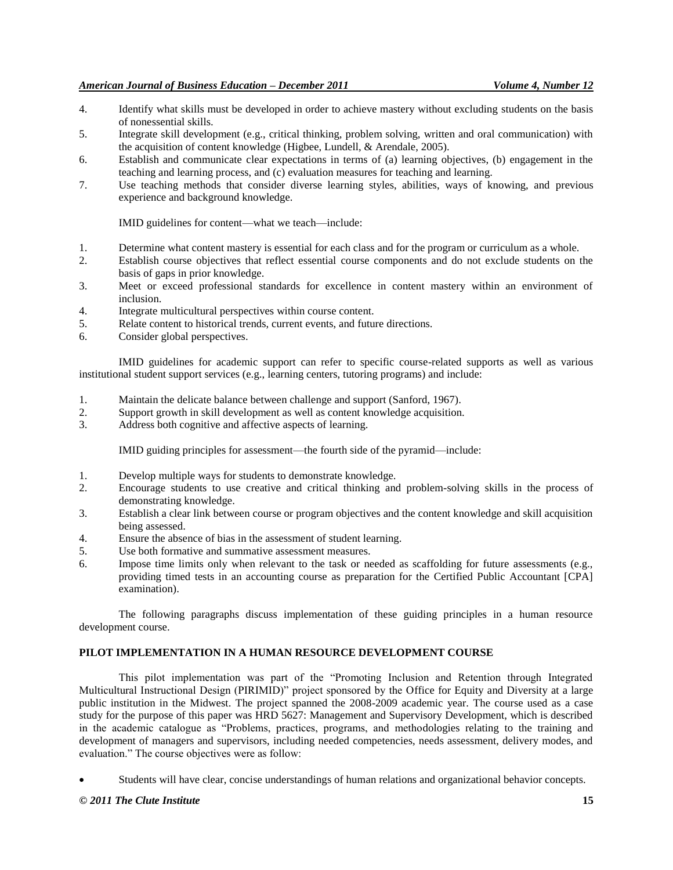- 4. Identify what skills must be developed in order to achieve mastery without excluding students on the basis of nonessential skills.
- 5. Integrate skill development (e.g., critical thinking, problem solving, written and oral communication) with the acquisition of content knowledge (Higbee, Lundell, & Arendale, 2005).
- 6. Establish and communicate clear expectations in terms of (a) learning objectives, (b) engagement in the teaching and learning process, and (c) evaluation measures for teaching and learning.
- 7. Use teaching methods that consider diverse learning styles, abilities, ways of knowing, and previous experience and background knowledge.

IMID guidelines for content—what we teach—include:

- 1. Determine what content mastery is essential for each class and for the program or curriculum as a whole.
- 2. Establish course objectives that reflect essential course components and do not exclude students on the basis of gaps in prior knowledge.
- 3. Meet or exceed professional standards for excellence in content mastery within an environment of inclusion.
- 4. Integrate multicultural perspectives within course content.
- 5. Relate content to historical trends, current events, and future directions.
- 6. Consider global perspectives.

IMID guidelines for academic support can refer to specific course-related supports as well as various institutional student support services (e.g., learning centers, tutoring programs) and include:

- 1. Maintain the delicate balance between challenge and support (Sanford, 1967).
- 2. Support growth in skill development as well as content knowledge acquisition.
- 3. Address both cognitive and affective aspects of learning.

IMID guiding principles for assessment—the fourth side of the pyramid—include:

- 1. Develop multiple ways for students to demonstrate knowledge.
- 2. Encourage students to use creative and critical thinking and problem-solving skills in the process of demonstrating knowledge.
- 3. Establish a clear link between course or program objectives and the content knowledge and skill acquisition being assessed.
- 4. Ensure the absence of bias in the assessment of student learning.
- 5. Use both formative and summative assessment measures.
- 6. Impose time limits only when relevant to the task or needed as scaffolding for future assessments (e.g., providing timed tests in an accounting course as preparation for the Certified Public Accountant [CPA] examination).

The following paragraphs discuss implementation of these guiding principles in a human resource development course.

# **PILOT IMPLEMENTATION IN A HUMAN RESOURCE DEVELOPMENT COURSE**

This pilot implementation was part of the "Promoting Inclusion and Retention through Integrated Multicultural Instructional Design (PIRIMID)" project sponsored by the Office for Equity and Diversity at a large public institution in the Midwest. The project spanned the 2008-2009 academic year. The course used as a case study for the purpose of this paper was HRD 5627: Management and Supervisory Development, which is described in the academic catalogue as "Problems, practices, programs, and methodologies relating to the training and development of managers and supervisors, including needed competencies, needs assessment, delivery modes, and evaluation." The course objectives were as follow:

Students will have clear, concise understandings of human relations and organizational behavior concepts.

## *© 2011 The Clute Institute* **15**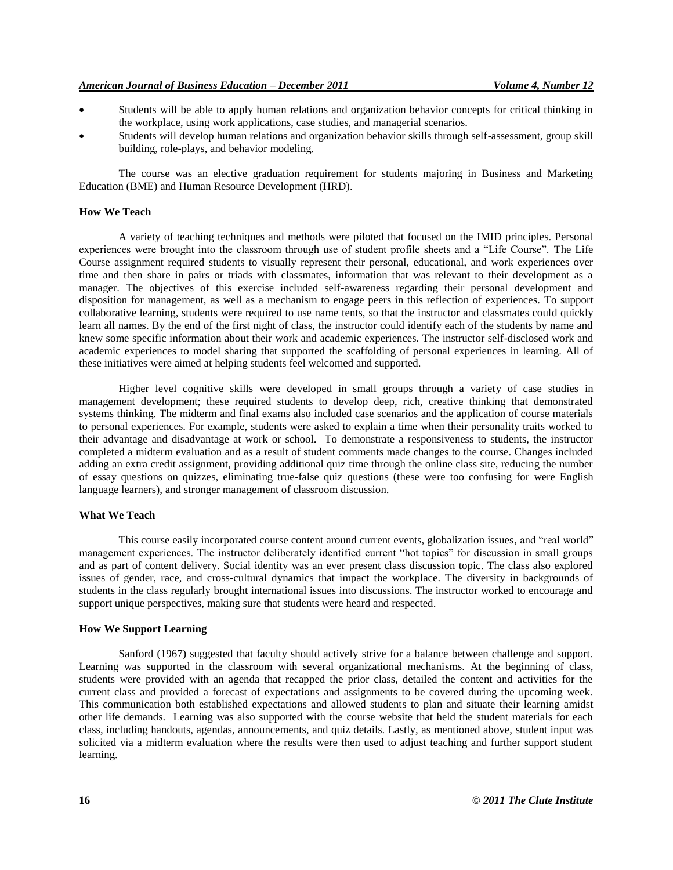- Students will be able to apply human relations and organization behavior concepts for critical thinking in the workplace, using work applications, case studies, and managerial scenarios.
- Students will develop human relations and organization behavior skills through self-assessment, group skill building, role-plays, and behavior modeling.

The course was an elective graduation requirement for students majoring in Business and Marketing Education (BME) and Human Resource Development (HRD).

#### **How We Teach**

A variety of teaching techniques and methods were piloted that focused on the IMID principles. Personal experiences were brought into the classroom through use of student profile sheets and a "Life Course". The Life Course assignment required students to visually represent their personal, educational, and work experiences over time and then share in pairs or triads with classmates, information that was relevant to their development as a manager. The objectives of this exercise included self-awareness regarding their personal development and disposition for management, as well as a mechanism to engage peers in this reflection of experiences. To support collaborative learning, students were required to use name tents, so that the instructor and classmates could quickly learn all names. By the end of the first night of class, the instructor could identify each of the students by name and knew some specific information about their work and academic experiences. The instructor self-disclosed work and academic experiences to model sharing that supported the scaffolding of personal experiences in learning. All of these initiatives were aimed at helping students feel welcomed and supported.

Higher level cognitive skills were developed in small groups through a variety of case studies in management development; these required students to develop deep, rich, creative thinking that demonstrated systems thinking. The midterm and final exams also included case scenarios and the application of course materials to personal experiences. For example, students were asked to explain a time when their personality traits worked to their advantage and disadvantage at work or school. To demonstrate a responsiveness to students, the instructor completed a midterm evaluation and as a result of student comments made changes to the course. Changes included adding an extra credit assignment, providing additional quiz time through the online class site, reducing the number of essay questions on quizzes, eliminating true-false quiz questions (these were too confusing for were English language learners), and stronger management of classroom discussion.

#### **What We Teach**

This course easily incorporated course content around current events, globalization issues, and "real world" management experiences. The instructor deliberately identified current "hot topics" for discussion in small groups and as part of content delivery. Social identity was an ever present class discussion topic. The class also explored issues of gender, race, and cross-cultural dynamics that impact the workplace. The diversity in backgrounds of students in the class regularly brought international issues into discussions. The instructor worked to encourage and support unique perspectives, making sure that students were heard and respected.

#### **How We Support Learning**

Sanford (1967) suggested that faculty should actively strive for a balance between challenge and support. Learning was supported in the classroom with several organizational mechanisms. At the beginning of class, students were provided with an agenda that recapped the prior class, detailed the content and activities for the current class and provided a forecast of expectations and assignments to be covered during the upcoming week. This communication both established expectations and allowed students to plan and situate their learning amidst other life demands. Learning was also supported with the course website that held the student materials for each class, including handouts, agendas, announcements, and quiz details. Lastly, as mentioned above, student input was solicited via a midterm evaluation where the results were then used to adjust teaching and further support student learning.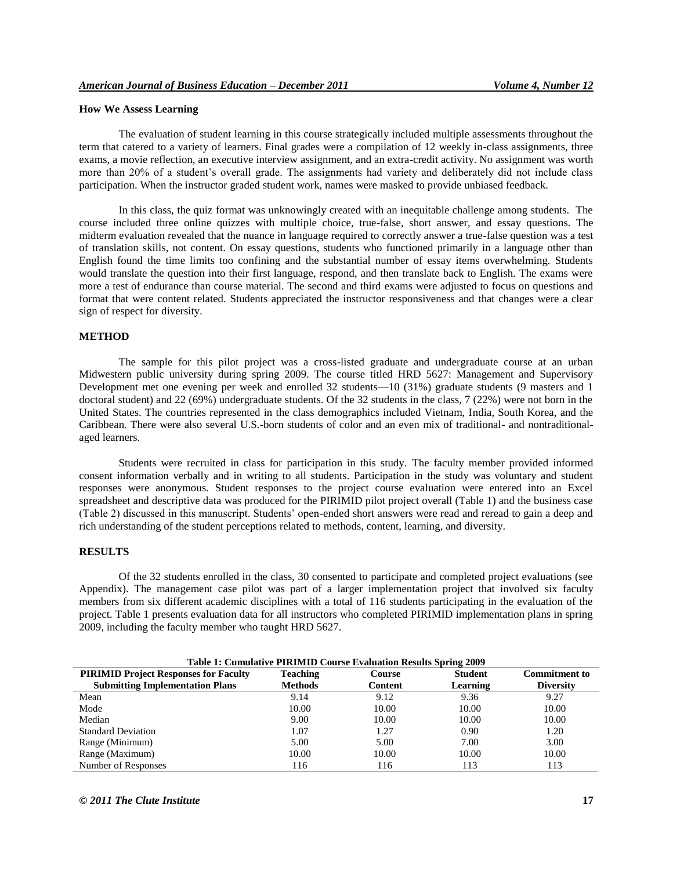#### **How We Assess Learning**

The evaluation of student learning in this course strategically included multiple assessments throughout the term that catered to a variety of learners. Final grades were a compilation of 12 weekly in-class assignments, three exams, a movie reflection, an executive interview assignment, and an extra-credit activity. No assignment was worth more than 20% of a student's overall grade. The assignments had variety and deliberately did not include class participation. When the instructor graded student work, names were masked to provide unbiased feedback.

In this class, the quiz format was unknowingly created with an inequitable challenge among students. The course included three online quizzes with multiple choice, true-false, short answer, and essay questions. The midterm evaluation revealed that the nuance in language required to correctly answer a true-false question was a test of translation skills, not content. On essay questions, students who functioned primarily in a language other than English found the time limits too confining and the substantial number of essay items overwhelming. Students would translate the question into their first language, respond, and then translate back to English. The exams were more a test of endurance than course material. The second and third exams were adjusted to focus on questions and format that were content related. Students appreciated the instructor responsiveness and that changes were a clear sign of respect for diversity.

#### **METHOD**

The sample for this pilot project was a cross-listed graduate and undergraduate course at an urban Midwestern public university during spring 2009. The course titled HRD 5627: Management and Supervisory Development met one evening per week and enrolled 32 students—10 (31%) graduate students (9 masters and 1 doctoral student) and 22 (69%) undergraduate students. Of the 32 students in the class, 7 (22%) were not born in the United States. The countries represented in the class demographics included Vietnam, India, South Korea, and the Caribbean. There were also several U.S.-born students of color and an even mix of traditional- and nontraditionalaged learners.

Students were recruited in class for participation in this study. The faculty member provided informed consent information verbally and in writing to all students. Participation in the study was voluntary and student responses were anonymous. Student responses to the project course evaluation were entered into an Excel spreadsheet and descriptive data was produced for the PIRIMID pilot project overall (Table 1) and the business case (Table 2) discussed in this manuscript. Students' open-ended short answers were read and reread to gain a deep and rich understanding of the student perceptions related to methods, content, learning, and diversity.

#### **RESULTS**

Of the 32 students enrolled in the class, 30 consented to participate and completed project evaluations (see Appendix). The management case pilot was part of a larger implementation project that involved six faculty members from six different academic disciplines with a total of 116 students participating in the evaluation of the project. Table 1 presents evaluation data for all instructors who completed PIRIMID implementation plans in spring 2009, including the faculty member who taught HRD 5627.

| Table 1: Cumulative PIRIMID Course Evaluation Results Spring 2009 |                      |         |          |                  |  |  |  |  |  |
|-------------------------------------------------------------------|----------------------|---------|----------|------------------|--|--|--|--|--|
| <b>PIRIMID Project Responses for Faculty</b>                      | <b>Commitment to</b> |         |          |                  |  |  |  |  |  |
| <b>Submitting Implementation Plans</b>                            | <b>Methods</b>       | Content | Learning | <b>Diversity</b> |  |  |  |  |  |
| Mean                                                              | 9.14                 | 9.12    | 9.36     | 9.27             |  |  |  |  |  |
| Mode                                                              | 10.00                | 10.00   | 10.00    | 10.00            |  |  |  |  |  |
| Median                                                            | 9.00                 | 10.00   | 10.00    | 10.00            |  |  |  |  |  |
| <b>Standard Deviation</b>                                         | 1.07                 | 1.27    | 0.90     | 1.20             |  |  |  |  |  |
| Range (Minimum)                                                   | 5.00                 | 5.00    | 7.00     | 3.00             |  |  |  |  |  |
| Range (Maximum)                                                   | 10.00                | 10.00   | 10.00    | 10.00            |  |  |  |  |  |
| Number of Responses                                               | 116                  | 116     | 113      | 113              |  |  |  |  |  |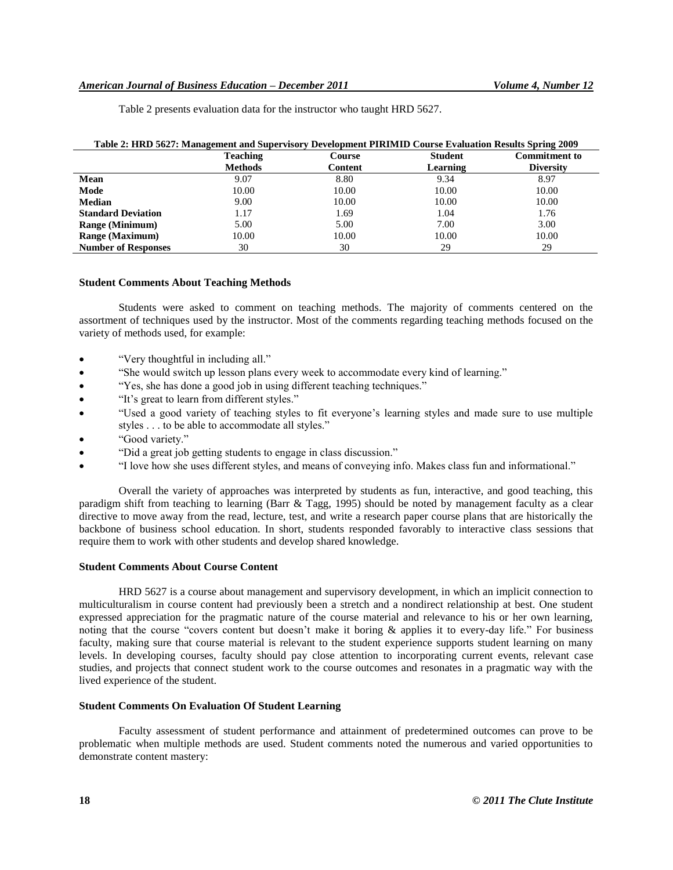| Table 2: HRD 5627: Management and Supervisory Development PIRIMID Course Evaluation Results Spring 2009 |                 |         |                |                      |
|---------------------------------------------------------------------------------------------------------|-----------------|---------|----------------|----------------------|
|                                                                                                         | <b>Teaching</b> | Course  | <b>Student</b> | <b>Commitment to</b> |
|                                                                                                         | <b>Methods</b>  | Content | Learning       | <b>Diversity</b>     |
| Mean                                                                                                    | 9.07            | 8.80    | 9.34           | 8.97                 |
| Mode                                                                                                    | 10.00           | 10.00   | 10.00          | 10.00                |
| <b>Median</b>                                                                                           | 9.00            | 10.00   | 10.00          | 10.00                |
| <b>Standard Deviation</b>                                                                               | 1.17            | 1.69    | 1.04           | 1.76                 |
| <b>Range (Minimum)</b>                                                                                  | 5.00            | 5.00    | 7.00           | 3.00                 |
| <b>Range (Maximum)</b>                                                                                  | 10.00           | 10.00   | 10.00          | 10.00                |
| <b>Number of Responses</b>                                                                              | 30              | 30      | 29             | 29                   |

Table 2 presents evaluation data for the instructor who taught HRD 5627.

## **Student Comments About Teaching Methods**

Students were asked to comment on teaching methods. The majority of comments centered on the assortment of techniques used by the instructor. Most of the comments regarding teaching methods focused on the variety of methods used, for example:

- "Very thoughtful in including all."
- "She would switch up lesson plans every week to accommodate every kind of learning."
- "Yes, she has done a good job in using different teaching techniques."
- "It's great to learn from different styles."
- "Used a good variety of teaching styles to fit everyone's learning styles and made sure to use multiple styles . . . to be able to accommodate all styles."
- "Good variety."
- "Did a great job getting students to engage in class discussion."
- "I love how she uses different styles, and means of conveying info. Makes class fun and informational."

Overall the variety of approaches was interpreted by students as fun, interactive, and good teaching, this paradigm shift from teaching to learning (Barr & Tagg, 1995) should be noted by management faculty as a clear directive to move away from the read, lecture, test, and write a research paper course plans that are historically the backbone of business school education. In short, students responded favorably to interactive class sessions that require them to work with other students and develop shared knowledge.

## **Student Comments About Course Content**

HRD 5627 is a course about management and supervisory development, in which an implicit connection to multiculturalism in course content had previously been a stretch and a nondirect relationship at best. One student expressed appreciation for the pragmatic nature of the course material and relevance to his or her own learning, noting that the course "covers content but doesn't make it boring & applies it to every-day life." For business faculty, making sure that course material is relevant to the student experience supports student learning on many levels. In developing courses, faculty should pay close attention to incorporating current events, relevant case studies, and projects that connect student work to the course outcomes and resonates in a pragmatic way with the lived experience of the student.

# **Student Comments On Evaluation Of Student Learning**

Faculty assessment of student performance and attainment of predetermined outcomes can prove to be problematic when multiple methods are used. Student comments noted the numerous and varied opportunities to demonstrate content mastery: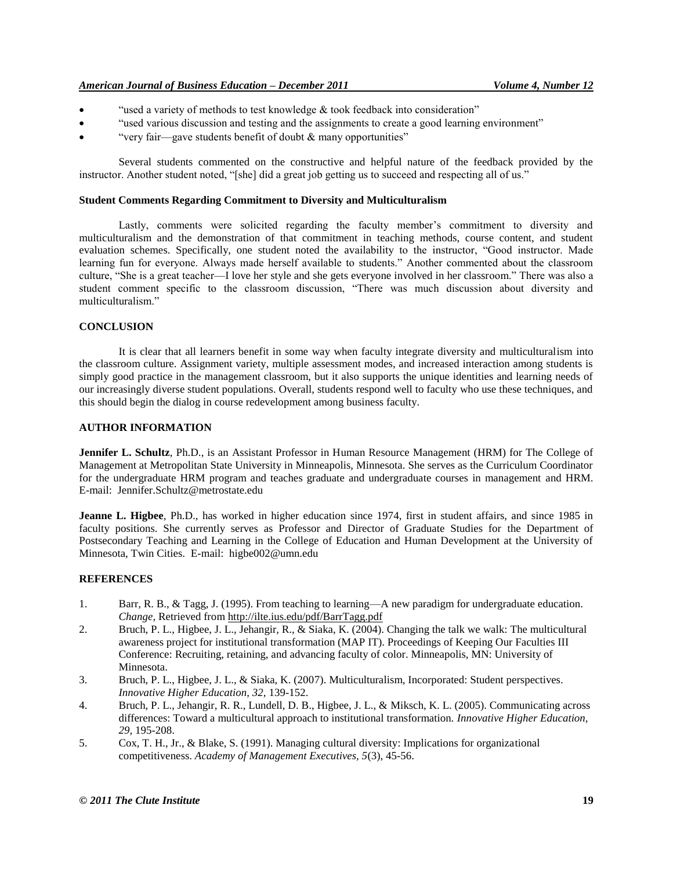- "used a variety of methods to test knowledge  $\&$  took feedback into consideration"
- "used various discussion and testing and the assignments to create a good learning environment"
- "very fair—gave students benefit of doubt & many opportunities"

Several students commented on the constructive and helpful nature of the feedback provided by the instructor. Another student noted, "[she] did a great job getting us to succeed and respecting all of us."

## **Student Comments Regarding Commitment to Diversity and Multiculturalism**

Lastly, comments were solicited regarding the faculty member's commitment to diversity and multiculturalism and the demonstration of that commitment in teaching methods, course content, and student evaluation schemes. Specifically, one student noted the availability to the instructor, "Good instructor. Made learning fun for everyone. Always made herself available to students." Another commented about the classroom culture, "She is a great teacher—I love her style and she gets everyone involved in her classroom." There was also a student comment specific to the classroom discussion, "There was much discussion about diversity and multiculturalism."

## **CONCLUSION**

It is clear that all learners benefit in some way when faculty integrate diversity and multiculturalism into the classroom culture. Assignment variety, multiple assessment modes, and increased interaction among students is simply good practice in the management classroom, but it also supports the unique identities and learning needs of our increasingly diverse student populations. Overall, students respond well to faculty who use these techniques, and this should begin the dialog in course redevelopment among business faculty.

## **AUTHOR INFORMATION**

**Jennifer L. Schultz**, Ph.D., is an Assistant Professor in Human Resource Management (HRM) for The College of Management at Metropolitan State University in Minneapolis, Minnesota. She serves as the Curriculum Coordinator for the undergraduate HRM program and teaches graduate and undergraduate courses in management and HRM. E-mail: Jennifer.Schultz@metrostate.edu

**Jeanne L. Higbee**, Ph.D., has worked in higher education since 1974, first in student affairs, and since 1985 in faculty positions. She currently serves as Professor and Director of Graduate Studies for the Department of Postsecondary Teaching and Learning in the College of Education and Human Development at the University of Minnesota, Twin Cities. E-mail: higbe002@umn.edu

# **REFERENCES**

- 1. Barr, R. B., & Tagg, J. (1995). From teaching to learning—A new paradigm for undergraduate education. *Change,* Retrieved from<http://ilte.ius.edu/pdf/BarrTagg.pdf>
- 2. Bruch, P. L., Higbee, J. L., Jehangir, R., & Siaka, K. (2004). Changing the talk we walk: The multicultural awareness project for institutional transformation (MAP IT). Proceedings of Keeping Our Faculties III Conference: Recruiting, retaining, and advancing faculty of color. Minneapolis, MN: University of Minnesota.
- 3. Bruch, P. L., Higbee, J. L., & Siaka, K. (2007). Multiculturalism, Incorporated: Student perspectives. *Innovative Higher Education, 32,* 139-152.
- 4. Bruch, P. L., Jehangir, R. R., Lundell, D. B., Higbee, J. L., & Miksch, K. L. (2005). Communicating across differences: Toward a multicultural approach to institutional transformation. *Innovative Higher Education, 29,* 195-208.
- 5. Cox, T. H., Jr., & Blake, S. (1991). Managing cultural diversity: Implications for organizational competitiveness. *Academy of Management Executives, 5*(3), 45-56.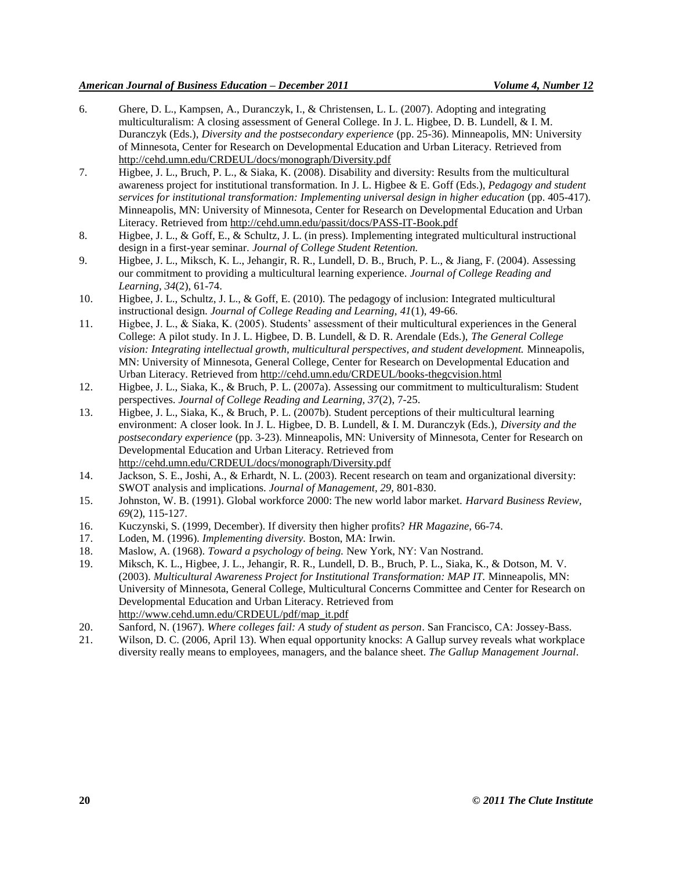- 6. Ghere, D. L., Kampsen, A., Duranczyk, I., & Christensen, L. L. (2007). Adopting and integrating multiculturalism: A closing assessment of General College. In J. L. Higbee, D. B. Lundell, & I. M. Duranczyk (Eds.), *Diversity and the postsecondary experience* (pp. 25-36). Minneapolis, MN: University of Minnesota, Center for Research on Developmental Education and Urban Literacy. Retrieved from <http://cehd.umn.edu/CRDEUL/docs/monograph/Diversity.pdf>
- 7. Higbee, J. L., Bruch, P. L., & Siaka, K. (2008). Disability and diversity: Results from the multicultural awareness project for institutional transformation. In J. L. Higbee & E. Goff (Eds.), *Pedagogy and student services for institutional transformation: Implementing universal design in higher education (pp. 405-417).* Minneapolis, MN: University of Minnesota, Center for Research on Developmental Education and Urban Literacy. Retrieved fro[m http://cehd.umn.edu/passit/docs/PASS-IT-Book.pdf](http://cehd.umn.edu/passit/docs/PASS-IT-Book.pdf)
- 8. Higbee, J. L., & Goff, E., & Schultz, J. L. (in press). Implementing integrated multicultural instructional design in a first-year seminar. *Journal of College Student Retention.*
- 9. Higbee, J. L., Miksch, K. L., Jehangir, R. R., Lundell, D. B., Bruch, P. L., & Jiang, F. (2004). Assessing our commitment to providing a multicultural learning experience. *Journal of College Reading and Learning, 34*(2), 61-74.
- 10. Higbee, J. L., Schultz, J. L., & Goff, E. (2010). The pedagogy of inclusion: Integrated multicultural instructional design. *Journal of College Reading and Learning, 41*(1), 49-66.
- 11. Higbee, J. L., & Siaka, K. (2005). Students' assessment of their multicultural experiences in the General College: A pilot study. In J. L. Higbee, D. B. Lundell, & D. R. Arendale (Eds.), *The General College vision: Integrating intellectual growth, multicultural perspectives, and student development.* Minneapolis, MN: University of Minnesota, General College, Center for Research on Developmental Education and Urban Literacy. Retrieved from<http://cehd.umn.edu/CRDEUL/books-thegcvision.html>
- 12. Higbee, J. L., Siaka, K., & Bruch, P. L. (2007a). Assessing our commitment to multiculturalism: Student perspectives. *Journal of College Reading and Learning, 37*(2), 7-25.
- 13. Higbee, J. L., Siaka, K., & Bruch, P. L. (2007b). Student perceptions of their multicultural learning environment: A closer look. In J. L. Higbee, D. B. Lundell, & I. M. Duranczyk (Eds.), *Diversity and the postsecondary experience* (pp. 3-23). Minneapolis, MN: University of Minnesota, Center for Research on Developmental Education and Urban Literacy. Retrieved from <http://cehd.umn.edu/CRDEUL/docs/monograph/Diversity.pdf>
- 14. Jackson, S. E., Joshi, A., & Erhardt, N. L. (2003). Recent research on team and organizational diversity: SWOT analysis and implications. *Journal of Management, 29,* 801-830.
- 15. Johnston, W. B. (1991). Global workforce 2000: The new world labor market. *Harvard Business Review, 69*(2), 115-127.
- 16. Kuczynski, S. (1999, December). If diversity then higher profits? *HR Magazine,* 66-74.
- 17. Loden, M. (1996). *Implementing diversity.* Boston, MA: Irwin.
- 18. Maslow, A. (1968). *Toward a psychology of being.* New York, NY: Van Nostrand.
- 19. Miksch, K. L., Higbee, J. L., Jehangir, R. R., Lundell, D. B., Bruch, P. L., Siaka, K., & Dotson, M. V. (2003). *Multicultural Awareness Project for Institutional Transformation: MAP IT.* Minneapolis, MN: University of Minnesota, General College, Multicultural Concerns Committee and Center for Research on Developmental Education and Urban Literacy. Retrieved from http://www.cehd.umn.edu/CRDEUL/pdf/map\_it.pdf
- 20. Sanford, N. (1967). *Where colleges fail: A study of student as person*. San Francisco, CA: Jossey-Bass.
- 21. Wilson, D. C. (2006, April 13). When equal opportunity knocks: A Gallup survey reveals what workplace diversity really means to employees, managers, and the balance sheet. *The Gallup Management Journal*.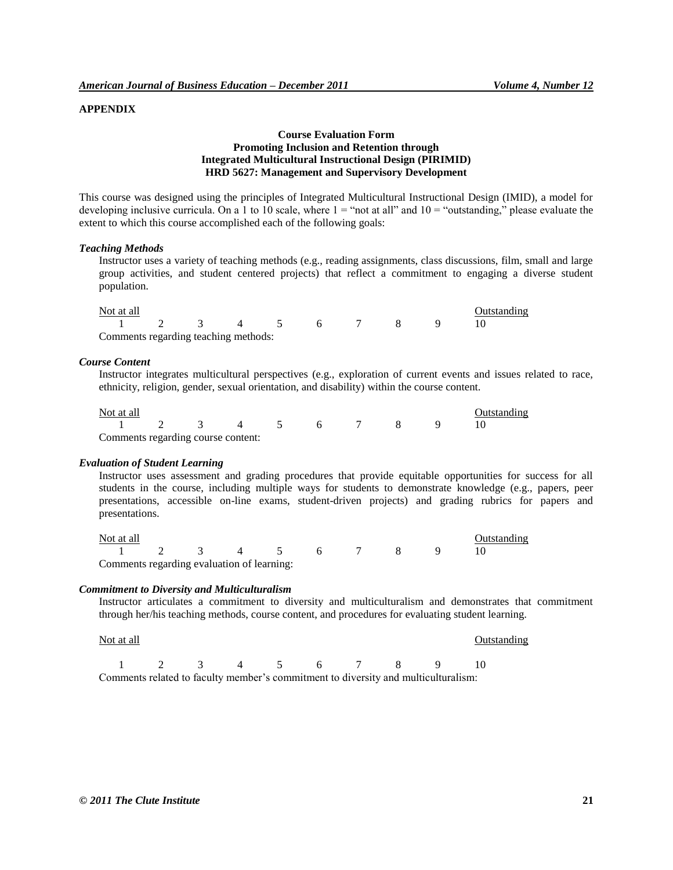# **APPENDIX**

# **Course Evaluation Form Promoting Inclusion and Retention through Integrated Multicultural Instructional Design (PIRIMID) HRD 5627: Management and Supervisory Development**

This course was designed using the principles of Integrated Multicultural Instructional Design (IMID), a model for developing inclusive curricula. On a 1 to 10 scale, where  $1 =$  "not at all" and  $10 =$  "outstanding," please evaluate the extent to which this course accomplished each of the following goals:

#### *Teaching Methods*

Instructor uses a variety of teaching methods (e.g., reading assignments, class discussions, film, small and large group activities, and student centered projects) that reflect a commitment to engaging a diverse student population.

| Not at all                           |  |  |  |  | <b>Outstanding</b> |  |
|--------------------------------------|--|--|--|--|--------------------|--|
| 1 2 3 4 5 6 7 8 9                    |  |  |  |  |                    |  |
| Comments regarding teaching methods: |  |  |  |  |                    |  |

#### *Course Content*

Instructor integrates multicultural perspectives (e.g., exploration of current events and issues related to race, ethnicity, religion, gender, sexual orientation, and disability) within the course content.

| Not at all                         |  |  |  |  | Outstanding |  |
|------------------------------------|--|--|--|--|-------------|--|
| 1 2 3 4 5 6 7 8 9                  |  |  |  |  |             |  |
| Comments regarding course content: |  |  |  |  |             |  |

#### *Evaluation of Student Learning*

Instructor uses assessment and grading procedures that provide equitable opportunities for success for all students in the course, including multiple ways for students to demonstrate knowledge (e.g., papers, peer presentations, accessible on-line exams, student-driven projects) and grading rubrics for papers and presentations.

| Not at all                                 |  |  |  |  | Outstanding |  |
|--------------------------------------------|--|--|--|--|-------------|--|
| 1 2 3 4 5 6 7 8 9                          |  |  |  |  |             |  |
| Comments regarding evaluation of learning: |  |  |  |  |             |  |

#### *Commitment to Diversity and Multiculturalism*

Instructor articulates a commitment to diversity and multiculturalism and demonstrates that commitment through her/his teaching methods, course content, and procedures for evaluating student learning.

| Not at all                                                                         |  |  |  |                                     | Outstanding |  |
|------------------------------------------------------------------------------------|--|--|--|-------------------------------------|-------------|--|
|                                                                                    |  |  |  | $1 \t2 \t3 \t4 \t5 \t6 \t7 \t8 \t9$ |             |  |
| Comments related to faculty member's commitment to diversity and multiculturalism: |  |  |  |                                     |             |  |